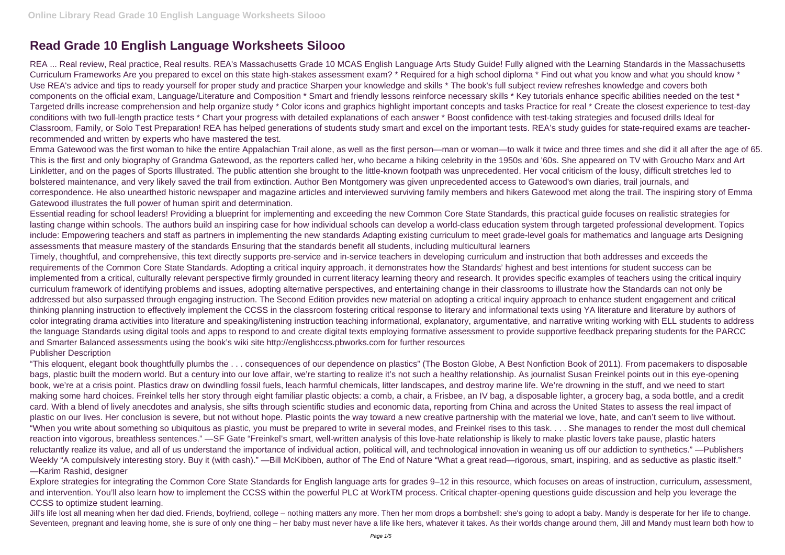## **Read Grade 10 English Language Worksheets Silooo**

REA ... Real review, Real practice, Real results. REA's Massachusetts Grade 10 MCAS English Language Arts Study Guide! Fully aligned with the Learning Standards in the Massachusetts Curriculum Frameworks Are you prepared to excel on this state high-stakes assessment exam? \* Required for a high school diploma \* Find out what you know and what you should know \* Use REA's advice and tips to ready yourself for proper study and practice Sharpen your knowledge and skills \* The book's full subject review refreshes knowledge and covers both components on the official exam, Language/Literature and Composition \* Smart and friendly lessons reinforce necessary skills \* Key tutorials enhance specific abilities needed on the test \* Targeted drills increase comprehension and help organize study \* Color icons and graphics highlight important concepts and tasks Practice for real \* Create the closest experience to test-day conditions with two full-length practice tests \* Chart your progress with detailed explanations of each answer \* Boost confidence with test-taking strategies and focused drills Ideal for Classroom, Family, or Solo Test Preparation! REA has helped generations of students study smart and excel on the important tests. REA's study guides for state-required exams are teacherrecommended and written by experts who have mastered the test.

Emma Gatewood was the first woman to hike the entire Appalachian Trail alone, as well as the first person—man or woman—to walk it twice and three times and she did it all after the age of 65. This is the first and only biography of Grandma Gatewood, as the reporters called her, who became a hiking celebrity in the 1950s and '60s. She appeared on TV with Groucho Marx and Art Linkletter, and on the pages of Sports Illustrated. The public attention she brought to the little-known footpath was unprecedented. Her vocal criticism of the lousy, difficult stretches led to bolstered maintenance, and very likely saved the trail from extinction. Author Ben Montgomery was given unprecedented access to Gatewood's own diaries, trail journals, and correspondence. He also unearthed historic newspaper and magazine articles and interviewed surviving family members and hikers Gatewood met along the trail. The inspiring story of Emma Gatewood illustrates the full power of human spirit and determination.

Essential reading for school leaders! Providing a blueprint for implementing and exceeding the new Common Core State Standards, this practical guide focuses on realistic strategies for lasting change within schools. The authors build an inspiring case for how individual schools can develop a world-class education system through targeted professional development. Topics include: Empowering teachers and staff as partners in implementing the new standards Adapting existing curriculum to meet grade-level goals for mathematics and language arts Designing assessments that measure mastery of the standards Ensuring that the standards benefit all students, including multicultural learners

Jill's life lost all meaning when her dad died. Friends, boyfriend, college – nothing matters any more. Then her mom drops a bombshell: she's going to adopt a baby. Mandy is desperate for her life to change. Seventeen, pregnant and leaving home, she is sure of only one thing – her baby must never have a life like hers, whatever it takes. As their worlds change around them, Jill and Mandy must learn both how to

Timely, thoughtful, and comprehensive, this text directly supports pre-service and in-service teachers in developing curriculum and instruction that both addresses and exceeds the requirements of the Common Core State Standards. Adopting a critical inquiry approach, it demonstrates how the Standards' highest and best intentions for student success can be implemented from a critical, culturally relevant perspective firmly grounded in current literacy learning theory and research. It provides specific examples of teachers using the critical inquiry curriculum framework of identifying problems and issues, adopting alternative perspectives, and entertaining change in their classrooms to illustrate how the Standards can not only be addressed but also surpassed through engaging instruction. The Second Edition provides new material on adopting a critical inquiry approach to enhance student engagement and critical thinking planning instruction to effectively implement the CCSS in the classroom fostering critical response to literary and informational texts using YA literature and literature by authors of color integrating drama activities into literature and speaking/listening instruction teaching informational, explanatory, argumentative, and narrative writing working with ELL students to address the language Standards using digital tools and apps to respond to and create digital texts employing formative assessment to provide supportive feedback preparing students for the PARCC and Smarter Balanced assessments using the book's wiki site http://englishccss.pbworks.com for further resources Publisher Description

"This eloquent, elegant book thoughtfully plumbs the . . . consequences of our dependence on plastics" (The Boston Globe, A Best Nonfiction Book of 2011). From pacemakers to disposable bags, plastic built the modern world. But a century into our love affair, we're starting to realize it's not such a healthy relationship. As journalist Susan Freinkel points out in this eye-opening book, we're at a crisis point. Plastics draw on dwindling fossil fuels, leach harmful chemicals, litter landscapes, and destroy marine life. We're drowning in the stuff, and we need to start making some hard choices. Freinkel tells her story through eight familiar plastic objects: a comb, a chair, a Frisbee, an IV bag, a disposable lighter, a grocery bag, a soda bottle, and a credit card. With a blend of lively anecdotes and analysis, she sifts through scientific studies and economic data, reporting from China and across the United States to assess the real impact of plastic on our lives. Her conclusion is severe, but not without hope. Plastic points the way toward a new creative partnership with the material we love, hate, and can't seem to live without. "When you write about something so ubiquitous as plastic, you must be prepared to write in several modes, and Freinkel rises to this task. . . . She manages to render the most dull chemical reaction into vigorous, breathless sentences." —SF Gate "Freinkel's smart, well-written analysis of this love-hate relationship is likely to make plastic lovers take pause, plastic haters reluctantly realize its value, and all of us understand the importance of individual action, political will, and technological innovation in weaning us off our addiction to synthetics." —Publishers Weekly "A compulsively interesting story. Buy it (with cash)." —Bill McKibben, author of The End of Nature "What a great read—rigorous, smart, inspiring, and as seductive as plastic itself." —Karim Rashid, designer

Explore strategies for integrating the Common Core State Standards for English language arts for grades 9–12 in this resource, which focuses on areas of instruction, curriculum, assessment, and intervention. You'll also learn how to implement the CCSS within the powerful PLC at WorkTM process. Critical chapter-opening questions guide discussion and help you leverage the CCSS to optimize student learning.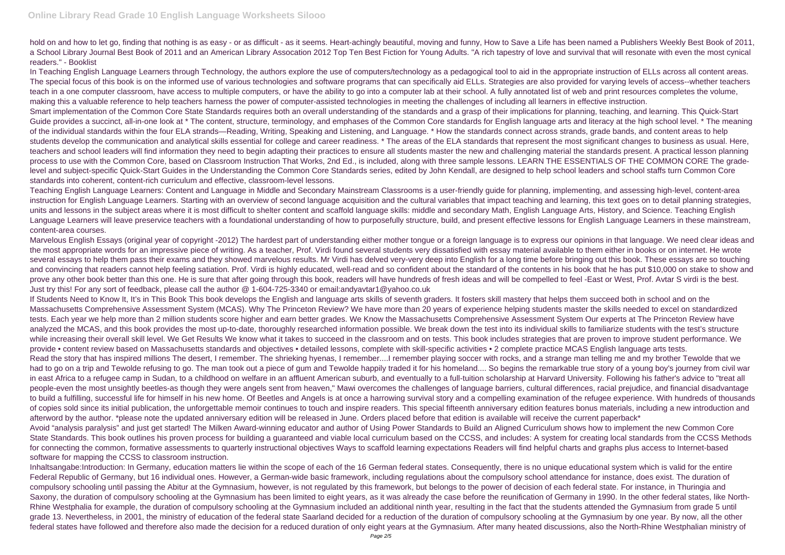hold on and how to let go, finding that nothing is as easy - or as difficult - as it seems. Heart-achingly beautiful, moving and funny. How to Save a Life has been named a Publishers Weekly Best Book of 2011, a School Library Journal Best Book of 2011 and an American Library Assocation 2012 Top Ten Best Fiction for Young Adults. "A rich tapestry of love and survival that will resonate with even the most cynical readers." - Booklist

In Teaching English Language Learners through Technology, the authors explore the use of computers/technology as a pedagogical tool to aid in the appropriate instruction of ELLs across all content areas. The special focus of this book is on the informed use of various technologies and software programs that can specifically aid ELLs. Strategies are also provided for varying levels of access--whether teachers teach in a one computer classroom, have access to multiple computers, or have the ability to go into a computer lab at their school. A fully annotated list of web and print resources completes the volume, making this a valuable reference to help teachers harness the power of computer-assisted technologies in meeting the challenges of including all learners in effective instruction. Smart implementation of the Common Core State Standards requires both an overall understanding of the standards and a grasp of their implications for planning, teaching, and learning. This Quick-Start Guide provides a succinct, all-in-one look at \* The content, structure, terminology, and emphases of the Common Core standards for English language arts and literacy at the high school level. \* The meaning of the individual standards within the four ELA strands—Reading, Writing, Speaking and Listening, and Language. \* How the standards connect across strands, grade bands, and content areas to help students develop the communication and analytical skills essential for college and career readiness. \* The areas of the ELA standards that represent the most significant changes to business as usual. Here, teachers and school leaders will find information they need to begin adapting their practices to ensure all students master the new and challenging material the standards present. A practical lesson planning process to use with the Common Core, based on Classroom Instruction That Works, 2nd Ed., is included, along with three sample lessons, LEARN THE ESSENTIALS OF THE COMMON CORE The gradelevel and subject-specific Quick-Start Guides in the Understanding the Common Core Standards series, edited by John Kendall, are designed to help school leaders and school staffs turn Common Core standards into coherent, content-rich curriculum and effective, classroom-level lessons.

Teaching English Language Learners: Content and Language in Middle and Secondary Mainstream Classrooms is a user-friendly guide for planning, implementing, and assessing high-level, content-area instruction for English Language Learners. Starting with an overview of second language acquisition and the cultural variables that impact teaching and learning, this text goes on to detail planning strategies, units and lessons in the subject areas where it is most difficult to shelter content and scaffold language skills: middle and secondary Math, English Language Arts, History, and Science. Teaching English Language Learners will leave preservice teachers with a foundational understanding of how to purposefully structure, build, and present effective lessons for English Language Learners in these mainstream, content-area courses.

Marvelous English Essays (original year of copyright -2012) The hardest part of understanding either mother tongue or a foreign language is to express our opinions in that language. We need clear ideas and the most appropriate words for an impressive piece of writing. As a teacher, Prof. Virdi found several students very dissatisfied with essay material available to them either in books or on internet. He wrote several essays to help them pass their exams and they showed marvelous results. Mr Virdi has delved very-very deep into English for a long time before bringing out this book. These essays are so touching and convincing that readers cannot help feeling satiation. Prof. Virdi is highly educated, well-read and so confident about the standard of the contents in his book that he has put \$10,000 on stake to show and prove any other book better than this one. He is sure that after going through this book, readers will have hundreds of fresh ideas and will be compelled to feel -East or West, Prof. Avtar S virdi is the best. Just try this! For any sort of feedback, please call the author @ 1-604-725-3340 or email:andyavtar1@yahoo.co.uk

If Students Need to Know It, It's in This Book This book develops the English and language arts skills of seventh graders. It fosters skill mastery that helps them succeed both in school and on the Massachusetts Comprehensive Assessment System (MCAS). Why The Princeton Review? We have more than 20 years of experience helping students master the skills needed to excel on standardized tests. Each year we help more than 2 million students score higher and earn better grades. We Know the Massachusetts Comprehensive Assessment System Our experts at The Princeton Review have analyzed the MCAS, and this book provides the most up-to-date, thoroughly researched information possible. We break down the test into its individual skills to familiarize students with the test's structure while increasing their overall skill level. We Get Results We know what it takes to succeed in the classroom and on tests. This book includes strategies that are proven to improve student performance. We provide • content review based on Massachusetts standards and objectives • detailed lessons, complete with skill-specific activities • 2 complete practice MCAS English language arts tests. Read the story that has inspired millions The desert, I remember. The shrieking hyenas, I remember...I remember playing soccer with rocks, and a strange man telling me and my brother Tewolde that we had to go on a trip and Tewolde refusing to go. The man took out a piece of gum and Tewolde happily traded it for his homeland.... So begins the remarkable true story of a young boy's journey from civil war in east Africa to a refugee camp in Sudan, to a childhood on welfare in an affluent American suburb, and eventually to a full-tuition scholarship at Harvard University. Following his father's advice to "treat all people-even the most unsightly beetles-as though they were angels sent from heaven," Mawi overcomes the challenges of language barriers, cultural differences, racial prejudice, and financial disadvantage to build a fulfilling, successful life for himself in his new home. Of Beetles and Angels is at once a harrowing survival story and a compelling examination of the refugee experience. With hundreds of thousands of copies sold since its initial publication, the unforgettable memoir continues to touch and inspire readers. This special fifteenth anniversary edition features bonus materials, including a new introduction and afterword by the author. \*please note the updated anniversary edition will be released in June. Orders placed before that edition is available will receive the current paperback\* Avoid "analysis paralysis" and just get started! The Milken Award-winning educator and author of Using Power Standards to Build an Aligned Curriculum shows how to implement the new Common Core State Standards. This book outlines his proven process for building a guaranteed and viable local curriculum based on the CCSS, and includes: A system for creating local standards from the CCSS Methods for connecting the common, formative assessments to quarterly instructional objectives Ways to scaffold learning expectations Readers will find helpful charts and graphs plus access to Internet-based software for mapping the CCSS to classroom instruction.

Inhaltsangabe:Introduction: In Germany, education matters lie within the scope of each of the 16 German federal states. Consequently, there is no unique educational system which is valid for the entire Federal Republic of Germany, but 16 individual ones. However, a German-wide basic framework, including regulations about the compulsory school attendance for instance, does exist. The duration of compulsory schooling until passing the Abitur at the Gymnasium, however, is not regulated by this framework, but belongs to the power of decision of each federal state. For instance, in Thuringia and Saxony, the duration of compulsory schooling at the Gymnasium has been limited to eight years, as it was already the case before the reunification of Germany in 1990. In the other federal states, like North-Rhine Westphalia for example, the duration of compulsory schooling at the Gymnasium included an additional ninth year, resulting in the fact that the students attended the Gymnasium from grade 5 until grade 13. Nevertheless, in 2001, the ministry of education of the federal state Saarland decided for a reduction of the duration of compulsory schooling at the Gymnasium by one year. By now, all the other federal states have followed and therefore also made the decision for a reduced duration of only eight years at the Gymnasium. After many heated discussions, also the North-Rhine Westphalian ministry of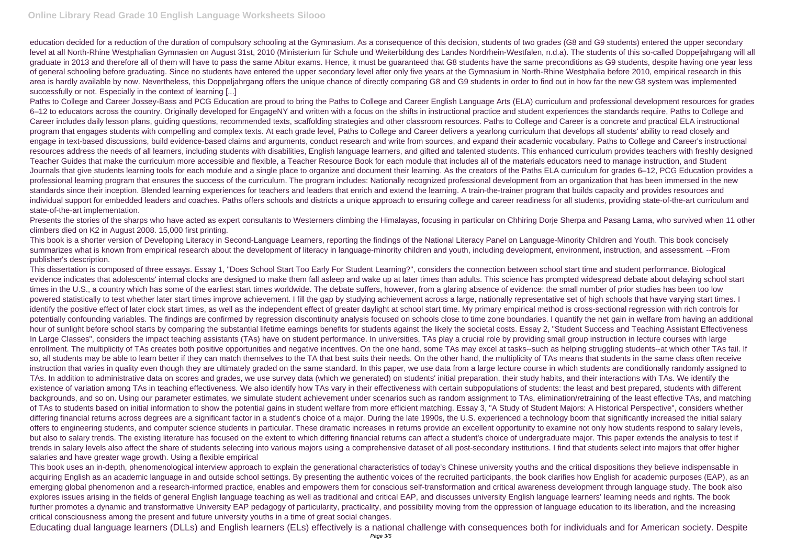education decided for a reduction of the duration of compulsory schooling at the Gymnasium. As a consequence of this decision, students of two grades (G8 and G9 students) entered the upper secondary level at all North-Rhine Westphalian Gymnasien on August 31st, 2010 (Ministerium für Schule und Weiterbildung des Landes Nordrhein-Westfalen, n.d.a). The students of this so-called Doppeljahrgang will all graduate in 2013 and therefore all of them will have to pass the same Abitur exams. Hence, it must be guaranteed that G8 students have the same preconditions as G9 students, despite having one year less of general schooling before graduating. Since no students have entered the upper secondary level after only five years at the Gymnasium in North-Rhine Westphalia before 2010, empirical research in this area is hardly available by now. Nevertheless, this Doppeljahrgang offers the unique chance of directly comparing G8 and G9 students in order to find out in how far the new G8 system was implemented successfully or not. Especially in the context of learning [...]

Presents the stories of the sharps who have acted as expert consultants to Westerners climbing the Himalayas, focusing in particular on Chhiring Dorie Sherpa and Pasang Lama, who survived when 11 other climbers died on K2 in August 2008. 15,000 first printing.

Paths to College and Career Jossey-Bass and PCG Education are proud to bring the Paths to College and Career English Language Arts (ELA) curriculum and professional development resources for grades 6–12 to educators across the country. Originally developed for EngageNY and written with a focus on the shifts in instructional practice and student experiences the standards require, Paths to College and Career includes daily lesson plans, guiding questions, recommended texts, scaffolding strategies and other classroom resources. Paths to College and Career is a concrete and practical ELA instructional program that engages students with compelling and complex texts. At each grade level, Paths to College and Career delivers a yearlong curriculum that develops all students' ability to read closely and engage in text-based discussions, build evidence-based claims and arguments, conduct research and write from sources, and expand their academic vocabulary. Paths to College and Career's instructional resources address the needs of all learners, including students with disabilities, English language learners, and gifted and talented students. This enhanced curriculum provides teachers with freshly designed Teacher Guides that make the curriculum more accessible and flexible, a Teacher Resource Book for each module that includes all of the materials educators need to manage instruction, and Student Journals that give students learning tools for each module and a single place to organize and document their learning. As the creators of the Paths ELA curriculum for grades 6–12, PCG Education provides a professional learning program that ensures the success of the curriculum. The program includes: Nationally recognized professional development from an organization that has been immersed in the new standards since their inception. Blended learning experiences for teachers and leaders that enrich and extend the learning. A train-the-trainer program that builds capacity and provides resources and individual support for embedded leaders and coaches. Paths offers schools and districts a unique approach to ensuring college and career readiness for all students, providing state-of-the-art curriculum and state-of-the-art implementation.

This book is a shorter version of Developing Literacy in Second-Language Learners, reporting the findings of the National Literacy Panel on Language-Minority Children and Youth. This book concisely summarizes what is known from empirical research about the development of literacy in language-minority children and youth, including development, environment, instruction, and assessment, --From publisher's description.

This dissertation is composed of three essays. Essay 1, "Does School Start Too Early For Student Learning?", considers the connection between school start time and student performance. Biological evidence indicates that adolescents' internal clocks are designed to make them fall asleep and wake up at later times than adults. This science has prompted widespread debate about delaying school start times in the U.S., a country which has some of the earliest start times worldwide. The debate suffers, however, from a glaring absence of evidence: the small number of prior studies has been too low powered statistically to test whether later start times improve achievement. I fill the gap by studying achievement across a large, nationally representative set of high schools that have varying start times. I identify the positive effect of later clock start times, as well as the independent effect of greater daylight at school start time. My primary empirical method is cross-sectional regression with rich controls for potentially confounding variables. The findings are confirmed by regression discontinuity analysis focused on schools close to time zone boundaries. I quantify the net gain in welfare from having an additional hour of sunlight before school starts by comparing the substantial lifetime earnings benefits for students against the likely the societal costs. Essay 2, "Student Success and Teaching Assistant Effectiveness In Large Classes", considers the impact teaching assistants (TAs) have on student performance. In universities, TAs play a crucial role by providing small group instruction in lecture courses with large enrollment. The multiplicity of TAs creates both positive opportunities and negative incentives. On the one hand, some TAs may excel at tasks--such as helping struggling students--at which other TAs fail. If so, all students may be able to learn better if they can match themselves to the TA that best suits their needs. On the other hand, the multiplicity of TAs means that students in the same class often receive instruction that varies in quality even though they are ultimately graded on the same standard. In this paper, we use data from a large lecture course in which students are conditionally randomly assigned to TAs. In addition to administrative data on scores and grades, we use survey data (which we generated) on students' initial preparation, their study habits, and their interactions with TAs. We identify the existence of variation among TAs in teaching effectiveness. We also identify how TAs vary in their effectiveness with certain subpopulations of students: the least and best prepared, students with different backgrounds, and so on. Using our parameter estimates, we simulate student achievement under scenarios such as random assignment to TAs, elimination/retraining of the least effective TAs, and matching of TAs to students based on initial information to show the potential gains in student welfare from more efficient matching. Essay 3, "A Study of Student Majors: A Historical Perspective", considers whether differing financial returns across degrees are a significant factor in a student's choice of a major. During the late 1990s, the U.S. experienced a technology boom that significantly increased the initial salary offers to engineering students, and computer science students in particular. These dramatic increases in returns provide an excellent opportunity to examine not only how students respond to salary levels, but also to salary trends. The existing literature has focused on the extent to which differing financial returns can affect a student's choice of undergraduate major. This paper extends the analysis to test if trends in salary levels also affect the share of students selecting into various majors using a comprehensive dataset of all post-secondary institutions. I find that students select into majors that offer higher salaries and have greater wage growth. Using a flexible empirical

This book uses an in-depth, phenomenological interview approach to explain the generational characteristics of today's Chinese university youths and the critical dispositions they believe indispensable in acquiring English as an academic language in and outside school settings. By presenting the authentic voices of the recruited participants, the book clarifies how English for academic purposes (EAP), as an emerging global phenomenon and a research-informed practice, enables and empowers them for conscious self-transformation and critical awareness development through language study. The book also explores issues arising in the fields of general English language teaching as well as traditional and critical EAP, and discusses university English language learners' learning needs and rights. The book further promotes a dynamic and transformative University EAP pedagogy of particularity, practicality, and possibility moving from the oppression of language education to its liberation, and the increasing critical consciousness among the present and future university youths in a time of great social changes.

Educating dual language learners (DLLs) and English learners (ELs) effectively is a national challenge with consequences both for individuals and for American society. Despite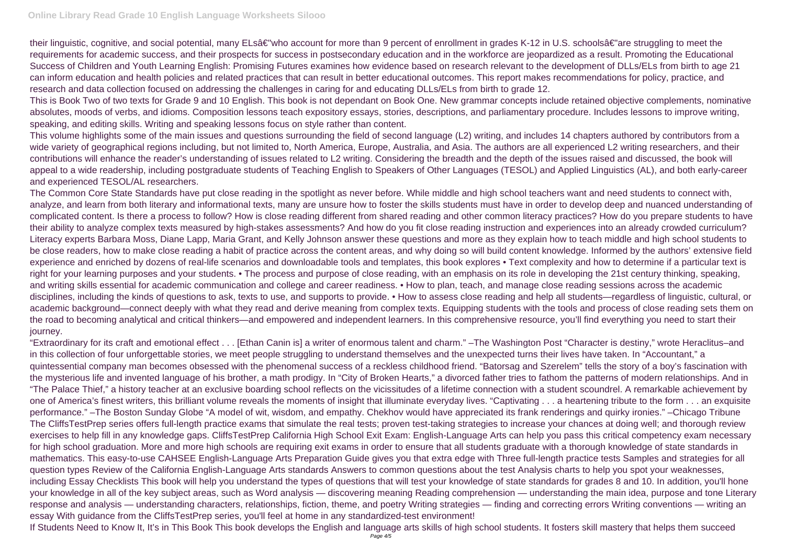## **Online Library Read Grade 10 English Language Worksheets Silooo**

their linguistic, cognitive, and social potential, many ELsâ€"who account for more than 9 percent of enrollment in grades K-12 in U.S. schoolsâ€"are struggling to meet the requirements for academic success, and their prospects for success in postsecondary education and in the workforce are jeopardized as a result. Promoting the Educational Success of Children and Youth Learning English: Promising Futures examines how evidence based on research relevant to the development of DLLs/ELs from birth to age 21 can inform education and health policies and related practices that can result in better educational outcomes. This report makes recommendations for policy, practice, and research and data collection focused on addressing the challenges in caring for and educating DLLs/ELs from birth to grade 12.

The Common Core State Standards have put close reading in the spotlight as never before. While middle and high school teachers want and need students to connect with, analyze, and learn from both literary and informational texts, many are unsure how to foster the skills students must have in order to develop deep and nuanced understanding of complicated content. Is there a process to follow? How is close reading different from shared reading and other common literacy practices? How do you prepare students to have their ability to analyze complex texts measured by high-stakes assessments? And how do you fit close reading instruction and experiences into an already crowded curriculum? Literacy experts Barbara Moss, Diane Lapp, Maria Grant, and Kelly Johnson answer these questions and more as they explain how to teach middle and high school students to be close readers, how to make close reading a habit of practice across the content areas, and why doing so will build content knowledge. Informed by the authors' extensive field experience and enriched by dozens of real-life scenarios and downloadable tools and templates, this book explores • Text complexity and how to determine if a particular text is right for your learning purposes and your students. • The process and purpose of close reading, with an emphasis on its role in developing the 21st century thinking, speaking, and writing skills essential for academic communication and college and career readiness. • How to plan, teach, and manage close reading sessions across the academic disciplines, including the kinds of questions to ask, texts to use, and supports to provide. • How to assess close reading and help all students—regardless of linguistic, cultural, or academic background—connect deeply with what they read and derive meaning from complex texts. Equipping students with the tools and process of close reading sets them on the road to becoming analytical and critical thinkers—and empowered and independent learners. In this comprehensive resource, you'll find everything you need to start their iourney.

This is Book Two of two texts for Grade 9 and 10 English. This book is not dependant on Book One. New grammar concepts include retained objective complements, nominative absolutes, moods of verbs, and idioms. Composition lessons teach expository essays, stories, descriptions, and parliamentary procedure. Includes lessons to improve writing, speaking, and editing skills. Writing and speaking lessons focus on style rather than content.

This volume highlights some of the main issues and questions surrounding the field of second language (L2) writing, and includes 14 chapters authored by contributors from a wide variety of geographical regions including, but not limited to, North America, Europe, Australia, and Asia. The authors are all experienced L2 writing researchers, and their contributions will enhance the reader's understanding of issues related to L2 writing. Considering the breadth and the depth of the issues raised and discussed, the book will appeal to a wide readership, including postgraduate students of Teaching English to Speakers of Other Languages (TESOL) and Applied Linguistics (AL), and both early-career and experienced TESOL/AL researchers.

"Extraordinary for its craft and emotional effect . . . [Ethan Canin is] a writer of enormous talent and charm." –The Washington Post "Character is destiny," wrote Heraclitus–and in this collection of four unforgettable stories, we meet people struggling to understand themselves and the unexpected turns their lives have taken. In "Accountant," a quintessential company man becomes obsessed with the phenomenal success of a reckless childhood friend. "Batorsag and Szerelem" tells the story of a boy's fascination with the mysterious life and invented language of his brother, a math prodigy. In "City of Broken Hearts," a divorced father tries to fathom the patterns of modern relationships. And in "The Palace Thief," a history teacher at an exclusive boarding school reflects on the vicissitudes of a lifetime connection with a student scoundrel. A remarkable achievement by one of America's finest writers, this brilliant volume reveals the moments of insight that illuminate everyday lives. "Captivating . . . a heartening tribute to the form . . . an exquisite performance." –The Boston Sunday Globe "A model of wit, wisdom, and empathy. Chekhov would have appreciated its frank renderings and quirky ironies." –Chicago Tribune The CliffsTestPrep series offers full-length practice exams that simulate the real tests; proven test-taking strategies to increase your chances at doing well; and thorough review exercises to help fill in any knowledge gaps. CliffsTestPrep California High School Exit Exam: English-Language Arts can help you pass this critical competency exam necessary for high school graduation. More and more high schools are requiring exit exams in order to ensure that all students graduate with a thorough knowledge of state standards in mathematics. This easy-to-use CAHSEE English-Language Arts Preparation Guide gives you that extra edge with Three full-length practice tests Samples and strategies for all question types Review of the California English-Language Arts standards Answers to common questions about the test Analysis charts to help you spot your weaknesses, including Essay Checklists This book will help you understand the types of questions that will test your knowledge of state standards for grades 8 and 10. In addition, you'll hone your knowledge in all of the key subject areas, such as Word analysis — discovering meaning Reading comprehension — understanding the main idea, purpose and tone Literary response and analysis — understanding characters, relationships, fiction, theme, and poetry Writing strategies — finding and correcting errors Writing conventions — writing an essay With guidance from the CliffsTestPrep series, you'll feel at home in any standardized-test environment! If Students Need to Know It, It's in This Book This book develops the English and language arts skills of high school students. It fosters skill mastery that helps them succeed